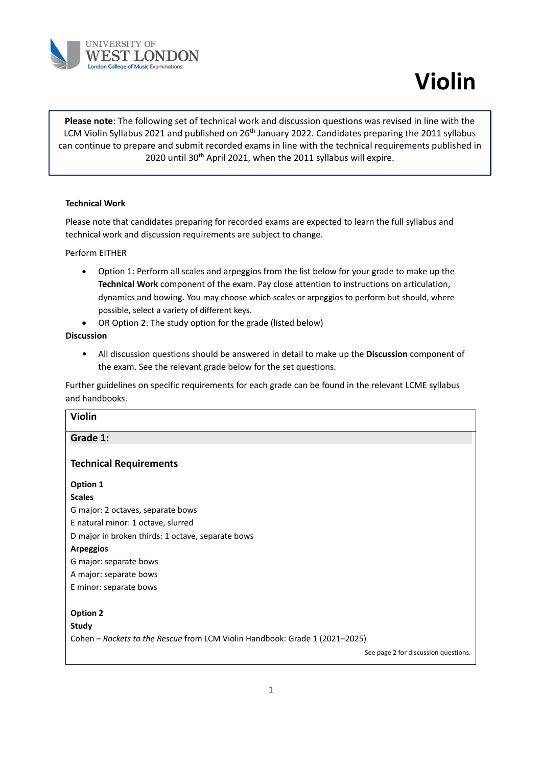

# **Violin**

**Please note**: The following set of technical work and discussion questions was revised in line with the LCM Violin Syllabus 2021 and published on 26<sup>th</sup> January 2022. Candidates preparing the 2011 syllabus can continue to prepare and submit recorded exams in line with the technical requirements published in 2020 until 30<sup>th</sup> April 2021, when the 2011 syllabus will expire.

#### **Technical Work**

Please note that candidates preparing for recorded exams are expected to learn the full syllabus and technical work and discussion requirements are subject to change.

Perform EITHER

- Option 1: Perform all scales and arpeggios from the list below for your grade to make up the **Technical Work** component of the exam. Pay close attention to instructions on articulation, dynamics and bowing. You may choose which scales or arpeggios to perform but should, where possible, select a variety of different keys.
- OR Option 2: The study option for the grade (listed below)

#### **Discussion**

• All discussion questions should be answered in detail to make up the **Discussion** component of the exam. See the relevant grade below for the set questions.

Further guidelines on specific requirements for each grade can be found in the relevant LCME syllabus and handbooks.

| <b>Violin</b>                                                               |
|-----------------------------------------------------------------------------|
| Grade 1:                                                                    |
| <b>Technical Requirements</b>                                               |
| Option 1                                                                    |
| <b>Scales</b>                                                               |
| G major: 2 octaves, separate bows                                           |
| E natural minor: 1 octave, slurred                                          |
| D major in broken thirds: 1 octave, separate bows                           |
| <b>Arpeggios</b>                                                            |
| G major: separate bows                                                      |
| A major: separate bows                                                      |
| E minor: separate bows                                                      |
|                                                                             |
| <b>Option 2</b>                                                             |
| <b>Study</b>                                                                |
| Cohen - Rockets to the Rescue from LCM Violin Handbook: Grade 1 (2021-2025) |
| See page 2 for discussion questions.                                        |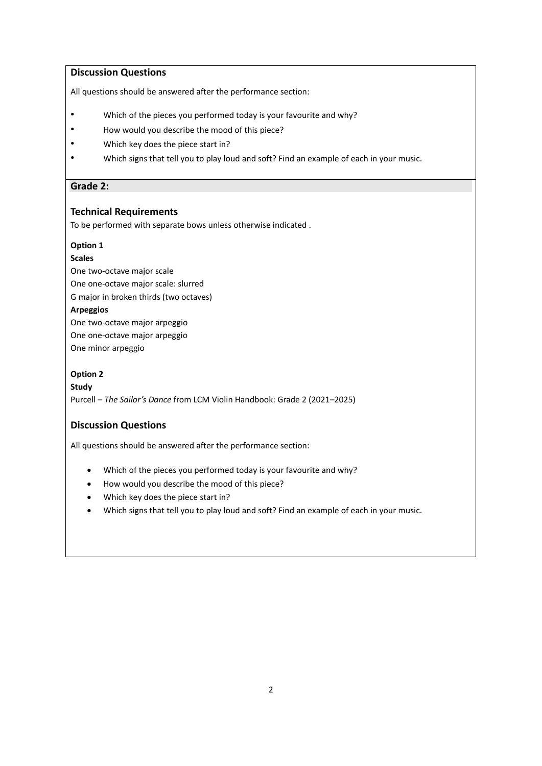## **Discussion Questions**

All questions should be answered after the performance section:

- Which of the pieces you performed today is your favourite and why?
- How would you describe the mood of this piece?
- Which key does the piece start in?
- Which signs that tell you to play loud and soft? Find an example of each in your music.

#### **Grade 2:**

#### **Technical Requirements**

To be performed with separate bows unless otherwise indicated .

#### **Option 1**

#### **Scales**

One two-octave major scale One one-octave major scale: slurred G major in broken thirds (two octaves) **Arpeggios** One two-octave major arpeggio One one-octave major arpeggio One minor arpeggio

#### **Option 2**

**Study** Purcell – *The Sailor's Dance* from LCM Violin Handbook: Grade 2 (2021–2025)

## **Discussion Questions**

- Which of the pieces you performed today is your favourite and why?
- How would you describe the mood of this piece?
- Which key does the piece start in?
- Which signs that tell you to play loud and soft? Find an example of each in your music.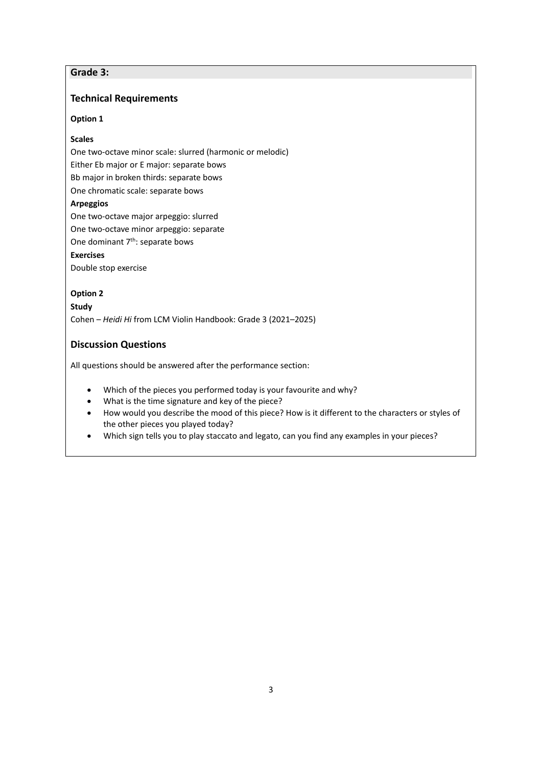# **Grade 3:**

## **Technical Requirements**

#### **Option 1**

#### **Scales**

One two-octave minor scale: slurred (harmonic or melodic)

Either Eb major or E major: separate bows

Bb major in broken thirds: separate bows

One chromatic scale: separate bows

# **Arpeggios**

One two-octave major arpeggio: slurred

One two-octave minor arpeggio: separate

One dominant 7<sup>th</sup>: separate bows

# **Exercises**

Double stop exercise

#### **Option 2**

#### **Study**

Cohen – *Heidi Hi* from LCM Violin Handbook: Grade 3 (2021–2025)

# **Discussion Questions**

- Which of the pieces you performed today is your favourite and why?
- What is the time signature and key of the piece?
- How would you describe the mood of this piece? How is it different to the characters or styles of the other pieces you played today?
- Which sign tells you to play staccato and legato, can you find any examples in your pieces?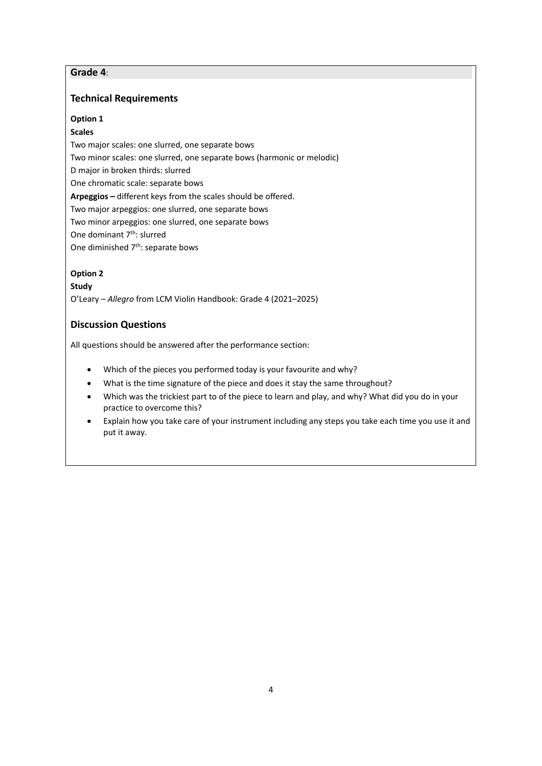# **Grade 4**:

## **Technical Requirements**

#### **Option 1**

#### **Scales**

Two major scales: one slurred, one separate bows Two minor scales: one slurred, one separate bows (harmonic or melodic) D major in broken thirds: slurred One chromatic scale: separate bows **Arpeggios –** different keys from the scales should be offered. Two major arpeggios: one slurred, one separate bows Two minor arpeggios: one slurred, one separate bows One dominant 7<sup>th</sup>: slurred One diminished 7<sup>th</sup>: separate bows

#### **Option 2**

#### **Study**

O'Leary – *Allegro* from LCM Violin Handbook: Grade 4 (2021–2025)

# **Discussion Questions**

- Which of the pieces you performed today is your favourite and why?
- What is the time signature of the piece and does it stay the same throughout?
- Which was the trickiest part to of the piece to learn and play, and why? What did you do in your practice to overcome this?
- Explain how you take care of your instrument including any steps you take each time you use it and put it away.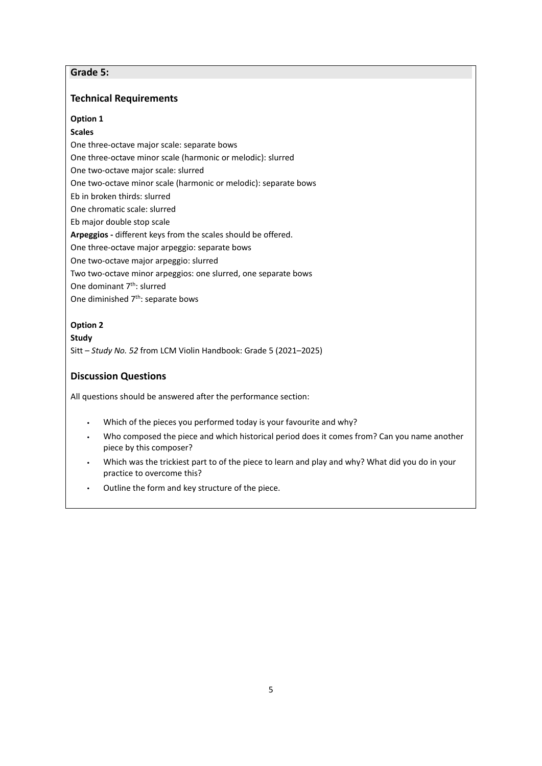# **Grade 5:**

# **Technical Requirements**

## **Option 1**

## **Scales**

One three-octave major scale: separate bows

One three-octave minor scale (harmonic or melodic): slurred

One two-octave major scale: slurred

One two-octave minor scale (harmonic or melodic): separate bows

Eb in broken thirds: slurred

One chromatic scale: slurred

Eb major double stop scale

**Arpeggios -** different keys from the scales should be offered.

One three-octave major arpeggio: separate bows

One two-octave major arpeggio: slurred

Two two-octave minor arpeggios: one slurred, one separate bows

One dominant 7th: slurred

One diminished 7<sup>th</sup>: separate bows

## **Option 2**

## **Study**

Sitt – *Study No. 52* from LCM Violin Handbook: Grade 5 (2021–2025)

# **Discussion Questions**

- Which of the pieces you performed today is your favourite and why?
- Who composed the piece and which historical period does it comes from? Can you name another piece by this composer?
- Which was the trickiest part to of the piece to learn and play and why? What did you do in your practice to overcome this?
- Outline the form and key structure of the piece.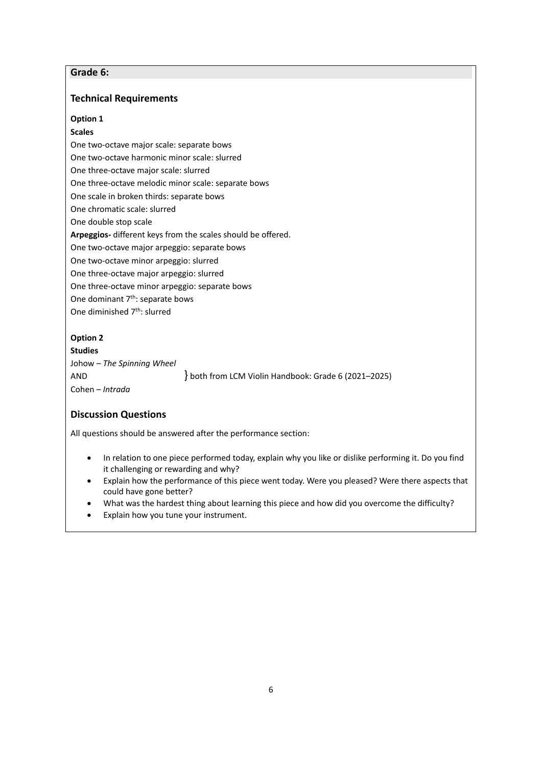# **Grade 6:**

## **Technical Requirements**

#### **Option 1**

#### **Scales**

One two-octave major scale: separate bows One two-octave harmonic minor scale: slurred One three-octave major scale: slurred One three-octave melodic minor scale: separate bows One scale in broken thirds: separate bows One chromatic scale: slurred One double stop scale **Arpeggios-** different keys from the scales should be offered. One two-octave major arpeggio: separate bows One two-octave minor arpeggio: slurred One three-octave major arpeggio: slurred One three-octave minor arpeggio: separate bows One dominant 7<sup>th</sup>: separate bows One diminished 7<sup>th</sup>: slurred

## **Option 2**

**Studies** Johow – *The Spinning Wheel* AND  $\{ both from LCM Violin Handbook: Grade 6 (2021–2025) \}$ Cohen – *Intrada* 

## **Discussion Questions**

- In relation to one piece performed today, explain why you like or dislike performing it. Do you find it challenging or rewarding and why?
- Explain how the performance of this piece went today. Were you pleased? Were there aspects that could have gone better?
- What was the hardest thing about learning this piece and how did you overcome the difficulty?
- Explain how you tune your instrument.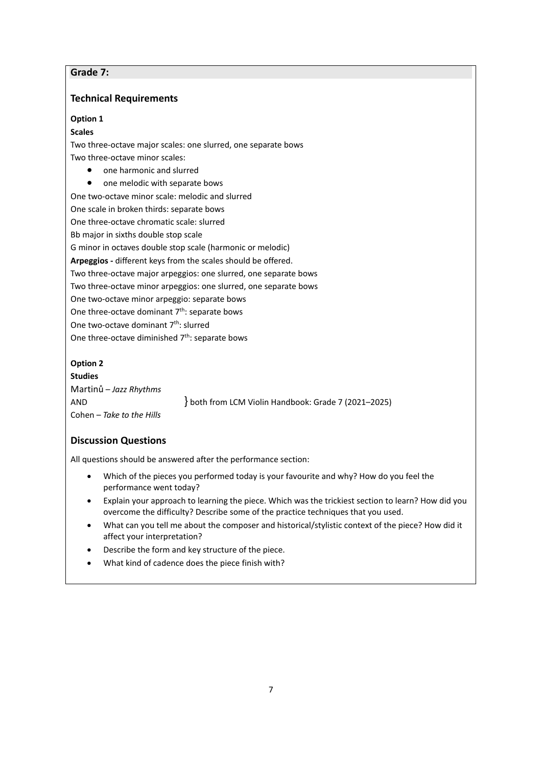# **Grade 7:**

# **Technical Requirements**

## **Option 1**

## **Scales**

Two three-octave major scales: one slurred, one separate bows Two three-octave minor scales:

- one harmonic and slurred
- one melodic with separate bows

One two-octave minor scale: melodic and slurred

One scale in broken thirds: separate bows

One three-octave chromatic scale: slurred

Bb major in sixths double stop scale

G minor in octaves double stop scale (harmonic or melodic)

**Arpeggios -** different keys from the scales should be offered.

Two three-octave major arpeggios: one slurred, one separate bows

Two three-octave minor arpeggios: one slurred, one separate bows

One two-octave minor arpeggio: separate bows

One three-octave dominant  $7<sup>th</sup>$ : separate bows

One two-octave dominant 7<sup>th</sup>: slurred

One three-octave diminished  $7<sup>th</sup>$ : separate bows

# **Option 2**

**Studies** Martinů – *Jazz Rhythms* AND **}** both from LCM Violin Handbook: Grade 7 (2021–2025) Cohen – *Take to the Hills*

# **Discussion Questions**

- Which of the pieces you performed today is your favourite and why? How do you feel the performance went today?
- Explain your approach to learning the piece. Which was the trickiest section to learn? How did you overcome the difficulty? Describe some of the practice techniques that you used.
- What can you tell me about the composer and historical/stylistic context of the piece? How did it affect your interpretation?
- Describe the form and key structure of the piece.
- What kind of cadence does the piece finish with?